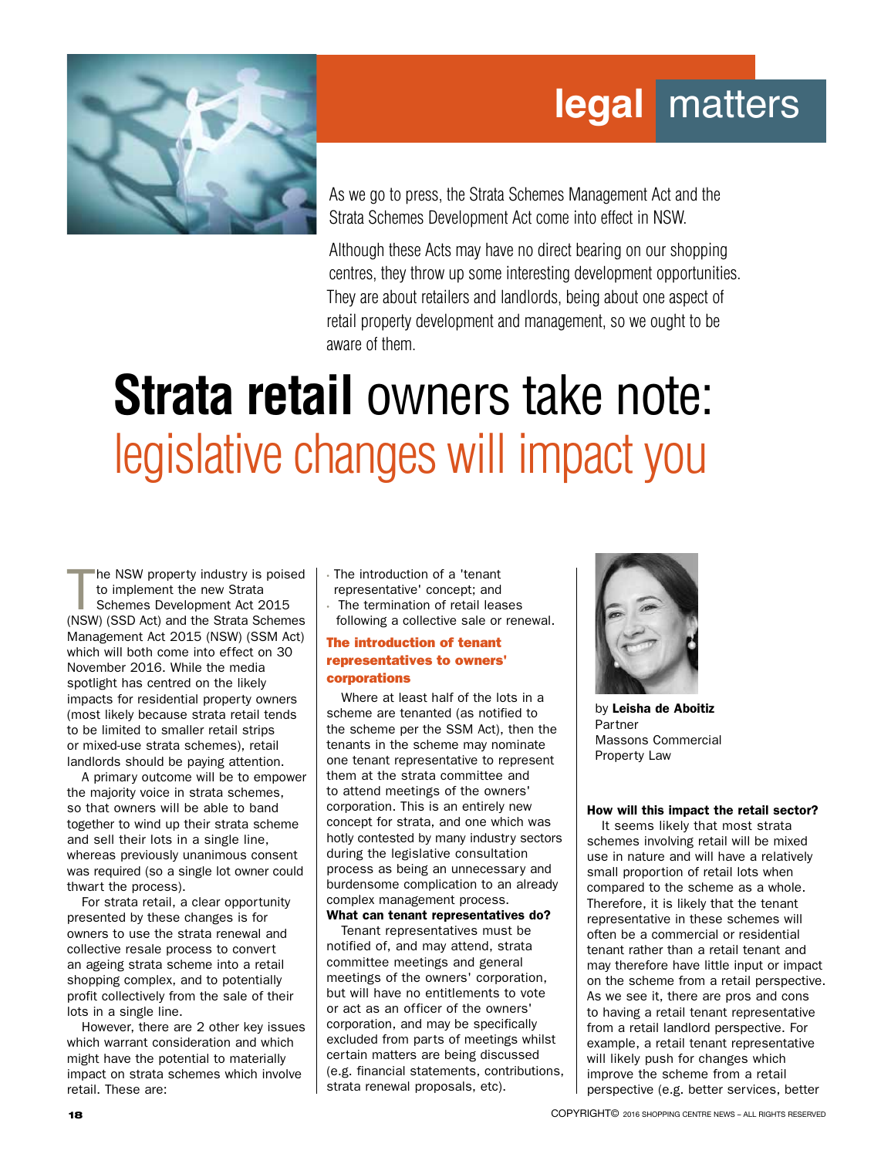## **legal** matters



As we go to press, the Strata Schemes Management Act and the Strata Schemes Development Act come into effect in NSW.

Although these Acts may have no direct bearing on our shopping centres, they throw up some interesting development opportunities. They are about retailers and landlords, being about one aspect of retail property development and management, so we ought to be aware of them.

# **Strata retail** owners take note: legislative changes will impact you

The NSW property industry is poised<br>to implement the new Strata<br>Schemes Development Act 2015<br>(NSW) (SSD Act) and the Strata Schemes he NSW property industry is poised to implement the new Strata Schemes Development Act 2015 Management Act 2015 (NSW) (SSM Act) which will both come into effect on 30 November 2016. While the media spotlight has centred on the likely impacts for residential property owners (most likely because strata retail tends to be limited to smaller retail strips or mixed-use strata schemes), retail landlords should be paying attention.

A primary outcome will be to empower the majority voice in strata schemes, so that owners will be able to band together to wind up their strata scheme and sell their lots in a single line, whereas previously unanimous consent was required (so a single lot owner could thwart the process).

For strata retail, a clear opportunity presented by these changes is for owners to use the strata renewal and collective resale process to convert an ageing strata scheme into a retail shopping complex, and to potentially profit collectively from the sale of their lots in a single line.

However, there are 2 other key issues which warrant consideration and which might have the potential to materially impact on strata schemes which involve retail. These are:

• The introduction of a 'tenant representative' concept; and • The termination of retail leases

following a collective sale or renewal.

#### The introduction of tenant representatives to owners' corporations

Where at least half of the lots in a scheme are tenanted (as notified to the scheme per the SSM Act), then the tenants in the scheme may nominate one tenant representative to represent them at the strata committee and to attend meetings of the owners' corporation. This is an entirely new concept for strata, and one which was hotly contested by many industry sectors during the legislative consultation process as being an unnecessary and burdensome complication to an already complex management process.

What can tenant representatives do? Tenant representatives must be notified of, and may attend, strata committee meetings and general meetings of the owners' corporation, but will have no entitlements to vote or act as an officer of the owners' corporation, and may be specifically excluded from parts of meetings whilst certain matters are being discussed (e.g. financial statements, contributions, strata renewal proposals, etc).



by Leisha de Aboitiz Partner Massons Commercial Property Law

#### How will this impact the retail sector?

It seems likely that most strata schemes involving retail will be mixed use in nature and will have a relatively small proportion of retail lots when compared to the scheme as a whole. Therefore, it is likely that the tenant representative in these schemes will often be a commercial or residential tenant rather than a retail tenant and may therefore have little input or impact on the scheme from a retail perspective. As we see it, there are pros and cons to having a retail tenant representative from a retail landlord perspective. For example, a retail tenant representative will likely push for changes which improve the scheme from a retail perspective (e.g. better services, better